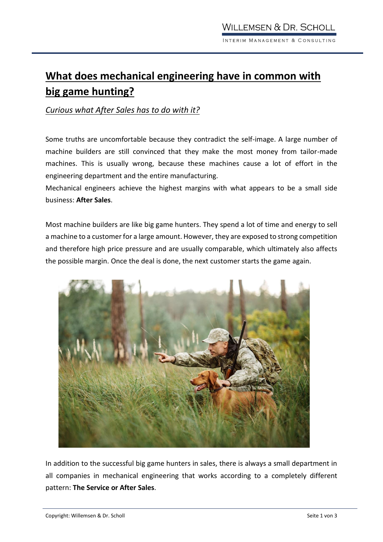## **What does mechanical engineering have in common with big game hunting?**

## *Curious what After Sales has to do with it?*

Some truths are uncomfortable because they contradict the self-image. A large number of machine builders are still convinced that they make the most money from tailor-made machines. This is usually wrong, because these machines cause a lot of effort in the [engineering](https://dict.leo.org/englisch-deutsch/engineering) [department](https://dict.leo.org/englisch-deutsch/department) and the entire manufacturing.

Mechanical engineers achieve the highest margins with what appears to be a small side business: **After Sales**.

Most machine builders are like big game hunters. They spend a lot of time and energy to sell a machine to a customer for a large amount. However, they are exposed to strong competition and therefore high price pressure and are usually comparable, which ultimately also affects the possible margin. Once the deal is done, the next customer starts the game again.



In addition to the successful big game hunters in sales, there is always a small department in all companies in mechanical engineering that works according to a completely different pattern: **The Service or After Sales**.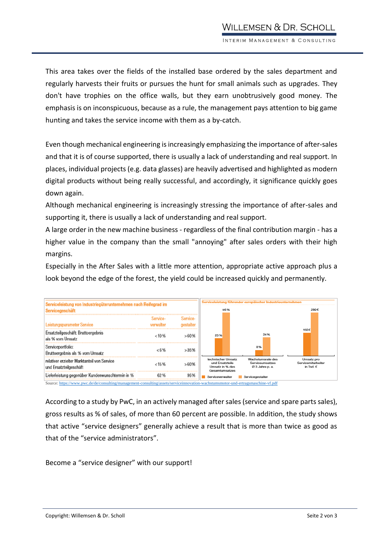This area takes over the fields of the installed base ordered by the sales department and regularly harvests their fruits or pursues the hunt for small animals such as upgrades. They don't have trophies on the office walls, but they earn unobtrusively good money. The emphasis is on inconspicuous, because as a rule, the management pays attention to big game hunting and takes the service income with them as a by-catch.

Even though mechanical engineering is increasingly emphasizing the importance of after-sales and that it is of course supported, there is usually a lack of understanding and real support. In places, individual projects (e.g. data glasses) are heavily advertised and highlighted as modern digital products without being really successful, and accordingly, it significance quickly goes down again.

Although mechanical engineering is increasingly stressing the importance of after-sales and supporting it, there is usually a lack of understanding and real support.

A large order in the new machine business - regardless of the final contribution margin - has a higher value in the company than the small "annoying" after sales orders with their high margins.

Especially in the After Sales with a little more attention, appropriate active approach plus a look beyond the edge of the forest, the yield could be increased quickly and permanently.



According to a study by PwC, in an actively managed after sales (service and spare parts sales), gross results as % of sales, of more than 60 percent are possible. In addition, the study shows that active "service designers" generally achieve a result that is more than twice as good as that of the "service administrators".

Become a "service designer" with our support!